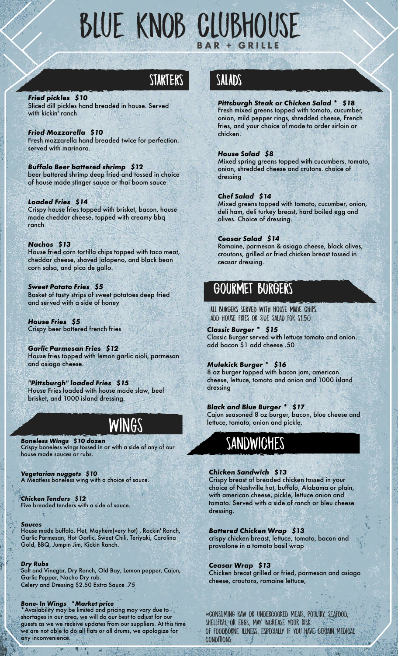# Blue Knob Clubhouse **B A R + G R I L L E**

## **STARTERS**

#### *Fried pickles \$10*

Sliced dill pickles hand breaded in house. Served with kickin' ranch

*Fried Mozzarella \$10* Fresh mozzarella hand breaded twice for perfection. served with marinara.

*Buffalo Beer battered shrimp \$12* beer battered shrimp deep fried and tossed in choice of house made stinger sauce or thai boom sauce

*Loaded Fries \$14* Crispy house fries topped with brisket, bacon, house made cheddar cheese, topped with creamy bbq ranch

*Nachos \$13* House fried corn tortilla chips topped with taco meat, cheddar cheese, shaved jalapeno, and black bean corn salsa, and pico de gallo.

*Sweet Potato Fries \$5* Basket of tasty strips of sweet potatoes deep fried and served with a side of honey

*House Fries \$5* Crispy beer battered french fries

*Garlic Parmesan Fries \$12* House fries topped with lemon garlic aioli, parmesan and asiago cheese.

*"Pittsburgh" loaded Fries \$15* House Fries loaded with house made slaw, beef brisket, and 1000 island dressing.

## Wings

*Boneless Wings \$10 dozen* Crispy boneless wings tossed in or with a side of any of our house made sauces or rubs.

*Vegetarian nuggets \$10* A Meatless boneless wing with a choice of sauce.

*Chicken Tenders \$12* Five breaded tenders with a side of sauce.

#### *Sauces*

House made buffalo, Hot, Mayhem(very hot) , Rockin' Ranch, Garlic Parmesan, Hot Garlic, Sweet Chili, Teriyaki, Carolina Gold, BBQ, Jumpin Jim, Kickin Ranch.

#### *Dry Rubs*

Salt and Vinegar, Dry Ranch, Old Bay, Lemon pepper, Cajun, Garlic Pepper, Nacho Dry rub. Celery and Dressing \$2.50 Extra Sauce .75

#### *Bone- In Wings \*Market price*

\*Availability may be limited and pricing may vary due to shortages in our area, we will do our best to adjust for our guests as we we receive updates from our suppliers. At this time we are not able to do all flats or all drums, we apologize for any inconvenience.

## **SALADS**

#### *Pittsburgh Steak or Chicken Salad \* \$18*

Fresh mixed greens topped with tomato, cucumber, onion, mild pepper rings, shredded cheese, French fries, and your choice of made to order sirloin or chicken.

#### *House Salad \$8*

Mixed spring greens topped with cucumbers, tomato, onion, shredded cheese and crutons. choice of dressing

#### *Chef Salad \$14*

Mixed greens topped with tomato, cucumber, onion, deli ham, deli turkey breast, hard boiled egg and olives. Choice of dressing.

#### *Ceasar Salad \$14*

Romaine, parmesan & asiago cheese, black olives, croutons, grilled or fried chicken breast tossed in ceasar dressing.

### **GOURMET BURGERS**

**ALL BURGERS SERVED WITH HOUSE MADE CHIPS.**  add House fries or side salad for \$1.50

*Classic Burger \* \$15* Classic Burger served with lettuce tomato and onion. add bacon \$1 add cheese .50

#### *Mulekick Burger \* \$16*

8 oz burger topped with bacon jam, american cheese, lettuce, tomato and onion and 1000 island dressing

#### *Black and Blue Burger \* \$17*

Cajun seasoned 8 oz burger, bacon, blue cheese and lettuce, tomato, onion and pickle.

## SANDWICHES

#### *Chicken Sandwich \$13*

Crispy breast of breaded chicken tossed in your choice of Nashville hot, buffalo, Alabama or plain, with american cheese, pickle, lettuce onion and tomato. Served with a side of ranch or bleu cheese dressing.

#### *Battered Chicken Wrap \$13*

crispy chicken breast, lettuce, tomato, bacon and provolone in a tomato basil wrap

*Ceasar Wrap \$13* Chicken breast grilled or fried, parmesan and asiago cheese, croutons, romaine lettuce,

\*Consuming raw or undercooked meats, poultry, seafood, shellfish, or eggs, may increase your risk of foodborne illness, especially if you have certain medical conditions.